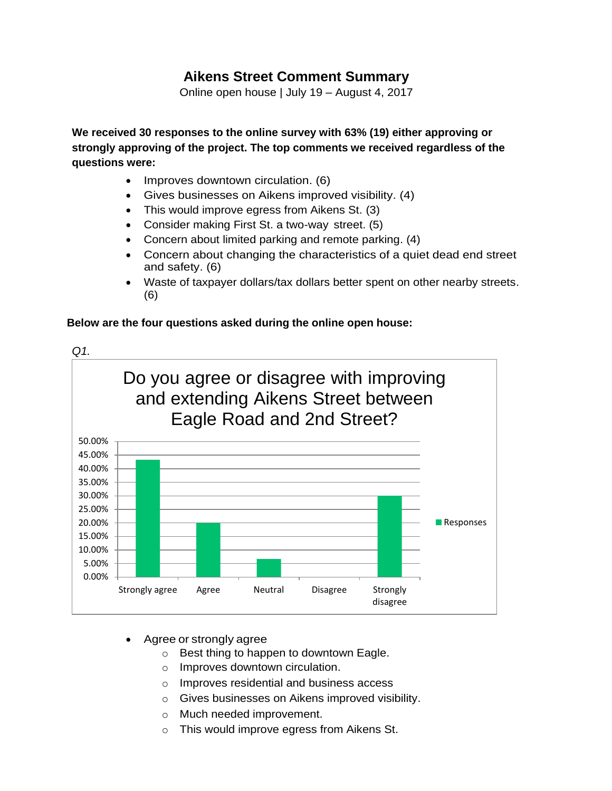## **Aikens Street Comment Summary**

Online open house | July 19 – August 4, 2017

**We received 30 responses to the online survey with 63% (19) either approving or strongly approving of the project. The top comments we received regardless of the questions were:**

- Improves downtown circulation. (6)
- Gives businesses on Aikens improved visibility. (4)
- This would improve egress from Aikens St. (3)
- Consider making First St. a two-way street. (5)
- Concern about limited parking and remote parking. (4)
- Concern about changing the characteristics of a quiet dead end street and safety. (6)
- Waste of taxpayer dollars/tax dollars better spent on other nearby streets. (6)

## **Below are the four questions asked during the online open house:**



- Agree or strongly agree
	- o Best thing to happen to downtown Eagle.
	- o Improves downtown circulation.
	- o Improves residential and business access
	- o Gives businesses on Aikens improved visibility.
	- o Much needed improvement.
	- o This would improve egress from Aikens St.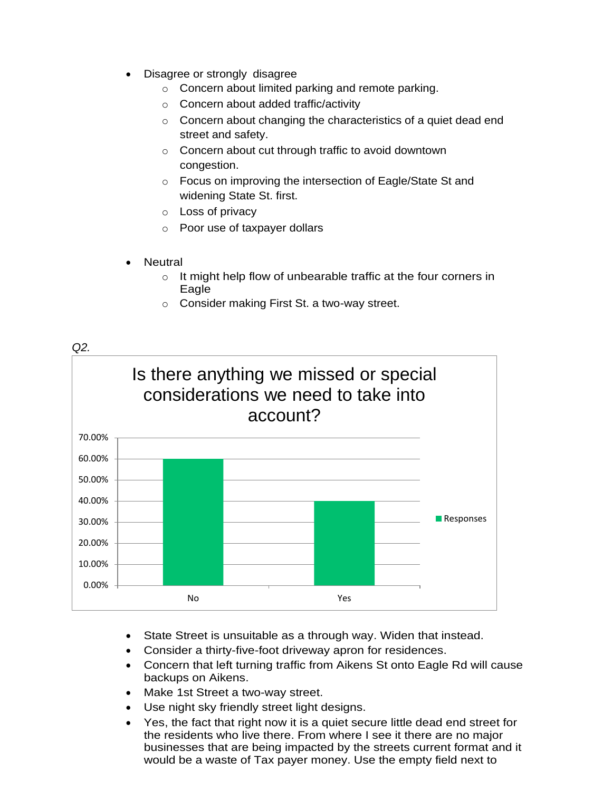- Disagree or strongly disagree
	- o Concern about limited parking and remote parking.
	- o Concern about added traffic/activity
	- o Concern about changing the characteristics of a quiet dead end street and safety.
	- o Concern about cut through traffic to avoid downtown congestion.
	- o Focus on improving the intersection of Eagle/State St and widening State St. first.
	- o Loss of privacy
	- o Poor use of taxpayer dollars
- **Neutral** 
	- o It might help flow of unbearable traffic at the four corners in Eagle
	- o Consider making First St. a two-way street.



- State Street is unsuitable as a through way. Widen that instead.
- Consider a thirty-five-foot driveway apron for residences.
- Concern that left turning traffic from Aikens St onto Eagle Rd will cause backups on Aikens.
- Make 1st Street a two-way street.
- Use night sky friendly street light designs.
- Yes, the fact that right now it is a quiet secure little dead end street for the residents who live there. From where I see it there are no major businesses that are being impacted by the streets current format and it would be a waste of Tax payer money. Use the empty field next to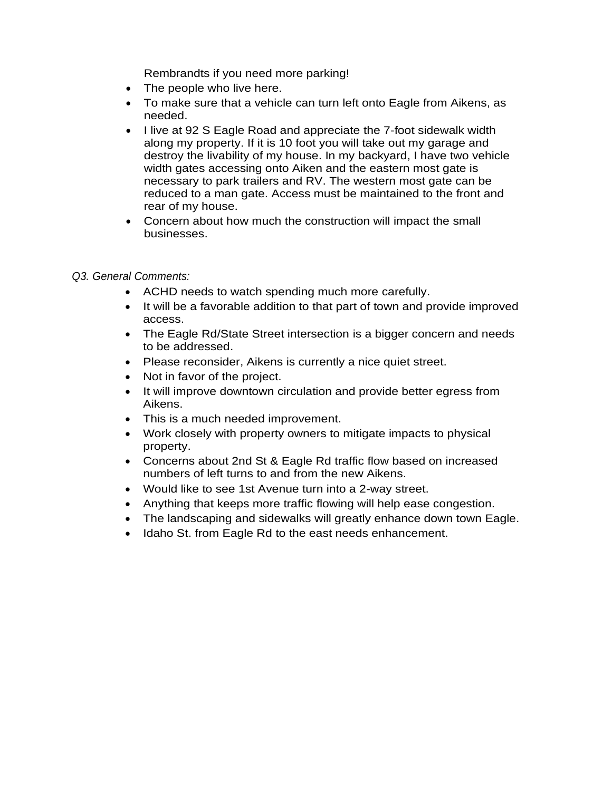Rembrandts if you need more parking!

- The people who live here.
- To make sure that a vehicle can turn left onto Eagle from Aikens, as needed.
- I live at 92 S Eagle Road and appreciate the 7-foot sidewalk width along my property. If it is 10 foot you will take out my garage and destroy the livability of my house. In my backyard, I have two vehicle width gates accessing onto Aiken and the eastern most gate is necessary to park trailers and RV. The western most gate can be reduced to a man gate. Access must be maintained to the front and rear of my house.
- Concern about how much the construction will impact the small businesses.

## *Q3. General Comments:*

- ACHD needs to watch spending much more carefully.
- It will be a favorable addition to that part of town and provide improved access.
- The Eagle Rd/State Street intersection is a bigger concern and needs to be addressed.
- Please reconsider, Aikens is currently a nice quiet street.
- Not in favor of the project.
- It will improve downtown circulation and provide better egress from Aikens.
- This is a much needed improvement.
- Work closely with property owners to mitigate impacts to physical property.
- Concerns about 2nd St & Eagle Rd traffic flow based on increased numbers of left turns to and from the new Aikens.
- Would like to see 1st Avenue turn into a 2-way street.
- Anything that keeps more traffic flowing will help ease congestion.
- The landscaping and sidewalks will greatly enhance down town Eagle.
- Idaho St. from Eagle Rd to the east needs enhancement.